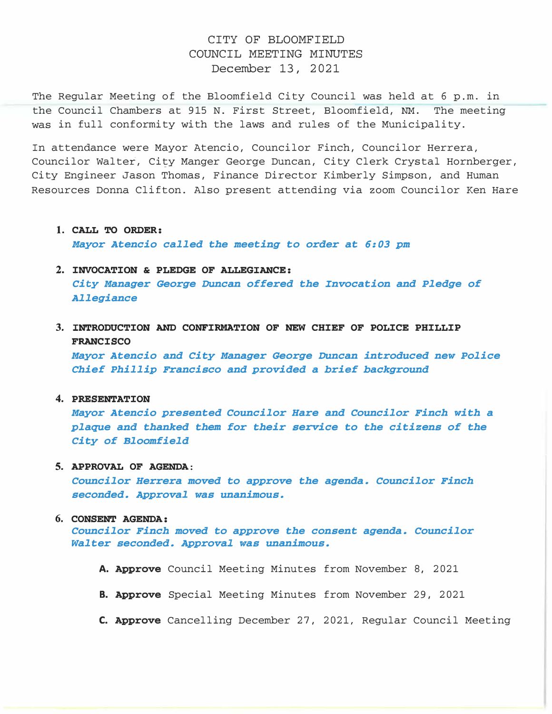# CITY OF BLOOMFIELD COUNCIL MEETING MINUTES December 13, 2021

The Regular Meeting of the Bloomfield City Council was held at 6 p.m. in the Council Chambers at 915 N. First Street, Bloomfield, NM. The meeting was in full conformity with the laws and rules of the Municipality.

In attendance were Mayor Atencio, Councilor Finch, Councilor Herrera, Councilor Walter, City Manger George Duncan, City Clerk Crystal Hornberger, City Engineer Jason Thomas, Finance Director Kimberly Simpson, and Human Resources Donna Clifton. Also present attending via zoom Councilor Ken Hare

#### 1. CALL TO ORDER:

Mayor Atencio called the meeting to order at 6:03 pm

# 2. INVOCATION & PLEDGE OF ALLEGIANCE:

City Manager George Duncan offered the Invocation and Pledge of Allegiance

3. INTRODUCTION AND CONFIRMATION OF NEW CHIEF OF POLICE PHILLIP FRANCISCO

Mayor Atencio and City Manager George Duncan introduced new Police Chief Phillip Francisco and provided a brief background

4. PRESENTATION

Mayor Atencio presented Councilor Hare and Councilor Finch with a plaque and thanked them for their service to the citizens of the City of Bloomfield

### 5. APPROVAL OF AGENDA:

Councilor Herrera moved to approve the agenda. Councilor Finch seconded. Approval was unanimous.

#### 6. CONSENT AGENDA:

Councilor Finch moved to approve the consent agenda. Councilor Walter seconded. Approval was unanimous.

- A. Approve Council Meeting Minutes from November 8, 2021
- B. Approve Special Meeting Minutes from November 29, 2021
- C. Approve Cancelling December 27, 2021, Regular Council Meeting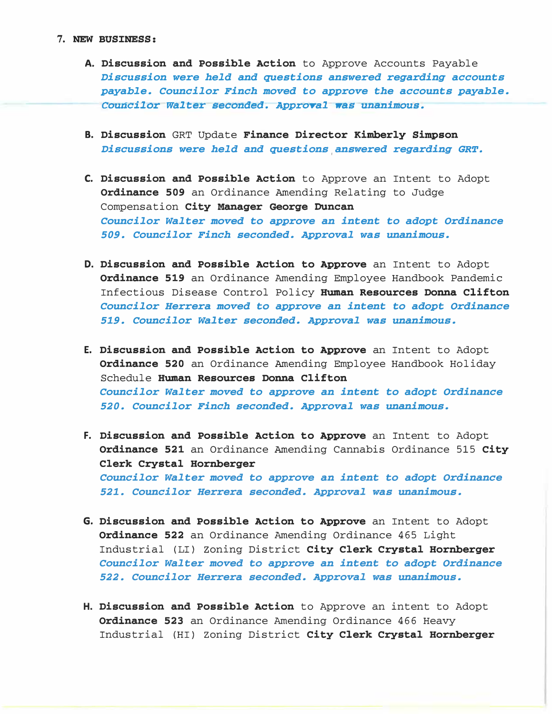- A. Discussion and Possible Action to Approve Accounts Payable Discussion were held and questions answered regarding accounts payable. Councilor Finch moved to approve the accounts payable. Councilor Walter seconded. Approval was unanimous.
- B. Discussion GRT Update Finance Director Kimberly Simpson Discussions were held and questions answered regarding GRT.
- C. Discussion and Possible Action to Approve an Intent to Adopt Ordinance 509 an Ordinance Amending Relating to Judge Compensation City Manager George Duncan Councilor Walter moved to approve an intent to adopt Ordinance 509. Councilor Finch seconded. Approval was unanimous.
- D. Discussion and Possible Action to Approve an Intent to Adopt **Ordinance 519** an Ordinance Amending Employee Handbook Pandemic Infectious Disease Control Policy Human Resources Donna Clifton Councilor Herrera moved to approve an intent to adopt Ordinance 519. Councilor Walter seconded. Approval was unanimous.
- E. Discussion and Possible Action to Approve an Intent to Adopt **Ordinance 520** an Ordinance Amending Employee Handbook Holiday Schedule Human Resources Donna Clifton Councilor Walter moved to approve an intent to adopt Ordinance 520. Councilor Finch seconded. Approval was unanimous.
- F. Discussion and Possible Action to Approve an Intent to Adopt Ordinance 521 an Ordinance Amending Cannabis Ordinance 515 City Clerk Crystal Hornberger Councilor Walter moved to approve an intent to adopt Ordinance 521. Councilor Herrera seconded. Approval was unanimous.
- G. Discussion and Possible Action to Approve an Intent to Adopt Ordinance 522 an Ordinance Amending Ordinance 465 Light Industrial {LI) zoning District City Clerk Crystal Hornberger Councilor Walter moved to approve an intent to adopt Ordinance 522. Councilor Herrera seconded. Approval was unanimous.
- H. Discussion and Possible Action to Approve an intent to Adopt Ordinance 523 an Ordinance Amending Ordinance 466 Heavy Industrial {HI) zoning District City Clerk Crystal Hornberger